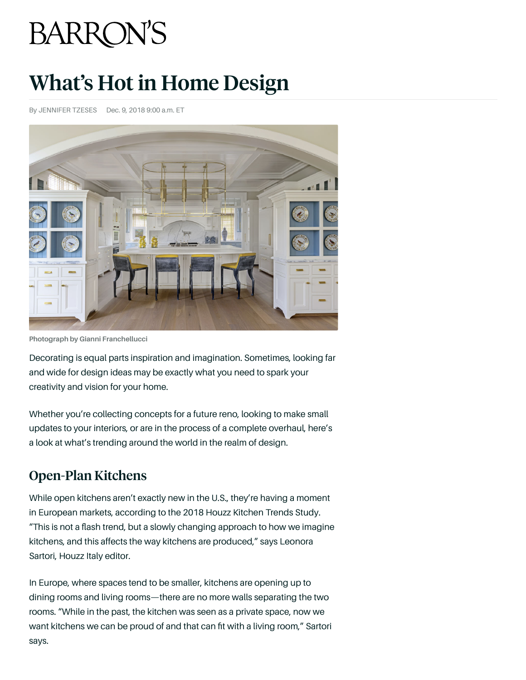# **BARRON'S**

# What's Hot in Home Design

By JENNIFER TZESES Dec. 9, 2018 9:00 a.m. ET



**Photograph by Gianni Franchellucci**

Decorating is equal parts inspiration and imagination. Sometimes, looking far and wide for design ideas may be exactly what you need to spark your creativity and vision for your home.

Whether you're collecting concepts for a future reno, looking to make small updates to your interiors, or are in the process of a complete overhaul, here's a look at what's trending around the world in the realm of design.

## Open-Plan Kitchens

While open kitchens aren't exactly new in the U.S., they're having a moment in European markets, according to the 2018 Houzz Kitchen Trends Study. "This is not a flash trend, but a slowly changing approach to how we imagine kitchens, and this affects the way kitchens are produced," says Leonora Sartori, Houzz Italy editor.

In Europe, where spaces tend to be smaller, kitchens are opening up to dining rooms and living rooms—there are no more walls separating the two rooms. "While in the past, the kitchen was seen as a private space, now we want kitchens we can be proud of and that can fit with a living room," Sartori says.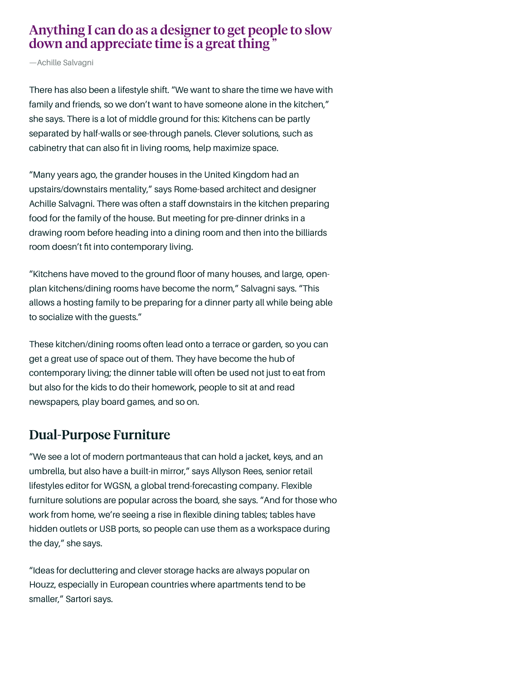#### Anything I can do as a designer to get people to slow down and appreciate time is a great thing<sup>7</sup>

—Achille Salvagni

There has also been a lifestyle shift. "We want to share the time we have with family and friends, so we don't want to have someone alone in the kitchen," she says. There is a lot of middle ground for this: Kitchens can be partly separated by half-walls or see-through panels. Clever solutions, such as cabinetry that can also fit in living rooms, help maximize space.

"Many years ago, the grander houses in the United Kingdom had an upstairs/downstairs mentality," says Rome-based architect and designer Achille Salvagni. There was often a staff downstairs in the kitchen preparing food for the family of the house. But meeting for pre-dinner drinks in a drawing room before heading into a dining room and then into the billiards room doesn't fit into contemporary living.

"Kitchens have moved to the ground floor of many houses, and large, openplan kitchens/dining rooms have become the norm," Salvagni says. "This allows a hosting family to be preparing for a dinner party all while being able to socialize with the guests."

These kitchen/dining rooms often lead onto a terrace or garden, so you can get a great use of space out of them. They have become the hub of contemporary living; the dinner table will often be used not just to eat from but also for the kids to do their homework, people to sit at and read newspapers, play board games, and so on.

#### Dual-Purpose Furniture

"We see a lot of modern portmanteaus that can hold a jacket, keys, and an umbrella, but also have a built-in mirror," says Allyson Rees, senior retail lifestyles editor for WGSN, a global trend-forecasting company. Flexible furniture solutions are popular across the board, she says. "And for those who work from home, we're seeing a rise in flexible dining tables; tables have hidden outlets or USB ports, so people can use them as a workspace during the day," she says.

"Ideas for decluttering and clever storage hacks are always popular on Houzz, especially in European countries where apartments tend to be smaller," Sartori says.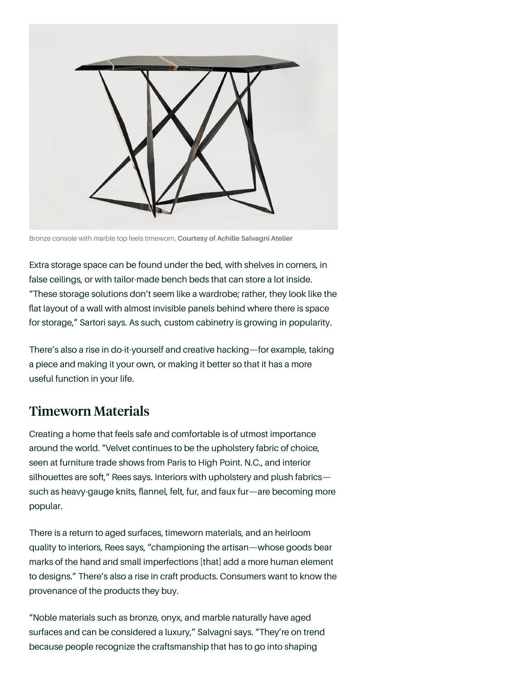

Bronze console with marble top feels timeworn. **Courtesy of Achille Salvagni Atelier**

Extra storage space can be found under the bed, with shelves in corners, in false ceilings, or with tailor-made bench beds that can store a lot inside. "These storage solutions don't seem like a wardrobe; rather, they look like the flat layout of a wall with almost invisible panels behind where there is space for storage," Sartori says. As such, custom cabinetry is growing in popularity.

There's also a rise in do-it-yourself and creative hacking—for example, taking a piece and making it your own, or making it better so that it has a more useful function in your life.

#### Timeworn Materials

Creating a home that feels safe and comfortable is of utmost importance around the world. "Velvet continues to be the upholstery fabric of choice, seen at furniture trade shows from Paris to High Point. N.C., and interior silhouettes are soft," Rees says. Interiors with upholstery and plush fabricssuch as heavy-gauge knits, flannel, felt, fur, and faux fur—are becoming more popular.

There is a return to aged surfaces, timeworn materials, and an heirloom quality to interiors, Rees says, "championing the artisan—whose goods bear marks of the hand and small imperfections [that] add a more human element to designs." There's also a rise in craft products. Consumers want to know the provenance of the products they buy.

"Noble materials such as bronze, onyx, and marble naturally have aged surfaces and can be considered a luxury," Salvagni says. "They're on trend because people recognize the craftsmanship that has to go into shaping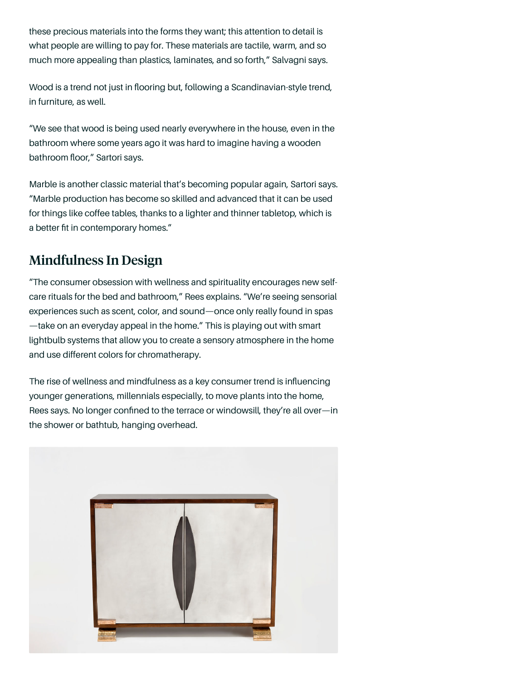these precious materials into the forms they want; this attention to detail is what people are willing to pay for. These materials are tactile, warm, and so much more appealing than plastics, laminates, and so forth," Salvagni says.

Wood is a trend not just in flooring but, following a Scandinavian-style trend, in furniture, as well.

"We see that wood is being used nearly everywhere in the house, even in the bathroom where some years ago it was hard to imagine having a wooden bathroom floor," Sartori says.

Marble is another classic material that's becoming popular again, Sartori says. "Marble production has become so skilled and advanced that it can be used for things like coffee tables, thanks to a lighter and thinner tabletop, which is a better fit in contemporary homes."

### Mindfulness In Design

"The consumer obsession with wellness and spirituality encourages new selfcare rituals for the bed and bathroom," Rees explains. "We're seeing sensorial experiences such as scent, color, and sound—once only really found in spas —take on an everyday appeal in the home." This is playing out with smart lightbulb systems that allow you to create a sensory atmosphere in the home and use different colors for chromatherapy.

The rise of wellness and mindfulness as a key consumer trend is influencing younger generations, millennials especially, to move plants into the home, Rees says. No longer confined to the terrace or windowsill, they're all over—in the shower or bathtub, hanging overhead.